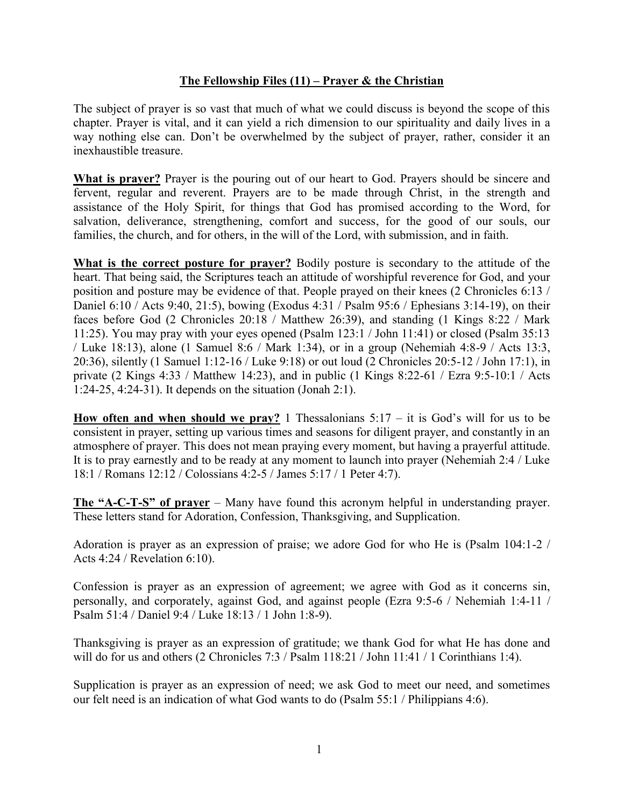## **The Fellowship Files (11) – Prayer & the Christian**

The subject of prayer is so vast that much of what we could discuss is beyond the scope of this chapter. Prayer is vital, and it can yield a rich dimension to our spirituality and daily lives in a way nothing else can. Don't be overwhelmed by the subject of prayer, rather, consider it an inexhaustible treasure.

**What is prayer?** Prayer is the pouring out of our heart to God. Prayers should be sincere and fervent, regular and reverent. Prayers are to be made through Christ, in the strength and assistance of the Holy Spirit, for things that God has promised according to the Word, for salvation, deliverance, strengthening, comfort and success, for the good of our souls, our families, the church, and for others, in the will of the Lord, with submission, and in faith.

**What is the correct posture for prayer?** Bodily posture is secondary to the attitude of the heart. That being said, the Scriptures teach an attitude of worshipful reverence for God, and your position and posture may be evidence of that. People prayed on their knees (2 Chronicles 6:13 / Daniel 6:10 / Acts 9:40, 21:5), bowing (Exodus 4:31 / Psalm 95:6 / Ephesians 3:14-19), on their faces before God (2 Chronicles 20:18 / Matthew 26:39), and standing (1 Kings 8:22 / Mark 11:25). You may pray with your eyes opened (Psalm 123:1 / John 11:41) or closed (Psalm 35:13 / Luke 18:13), alone (1 Samuel 8:6 / Mark 1:34), or in a group (Nehemiah 4:8-9 / Acts 13:3, 20:36), silently (1 Samuel 1:12-16 / Luke 9:18) or out loud (2 Chronicles 20:5-12 / John 17:1), in private (2 Kings 4:33 / Matthew 14:23), and in public (1 Kings 8:22-61 / Ezra 9:5-10:1 / Acts 1:24-25, 4:24-31). It depends on the situation (Jonah 2:1).

**How often and when should we pray?** 1 Thessalonians  $5:17 - it$  is God's will for us to be consistent in prayer, setting up various times and seasons for diligent prayer, and constantly in an atmosphere of prayer. This does not mean praying every moment, but having a prayerful attitude. It is to pray earnestly and to be ready at any moment to launch into prayer (Nehemiah 2:4 / Luke 18:1 / Romans 12:12 / Colossians 4:2-5 / James 5:17 / 1 Peter 4:7).

**The "A-C-T-S" of prayer** – Many have found this acronym helpful in understanding prayer. These letters stand for Adoration, Confession, Thanksgiving, and Supplication.

Adoration is prayer as an expression of praise; we adore God for who He is (Psalm 104:1-2 / Acts 4:24 / Revelation 6:10).

Confession is prayer as an expression of agreement; we agree with God as it concerns sin, personally, and corporately, against God, and against people (Ezra 9:5-6 / Nehemiah 1:4-11 / Psalm 51:4 / Daniel 9:4 / Luke 18:13 / 1 John 1:8-9).

Thanksgiving is prayer as an expression of gratitude; we thank God for what He has done and will do for us and others (2 Chronicles 7:3 / Psalm 118:21 / John 11:41 / 1 Corinthians 1:4).

Supplication is prayer as an expression of need; we ask God to meet our need, and sometimes our felt need is an indication of what God wants to do (Psalm 55:1 / Philippians 4:6).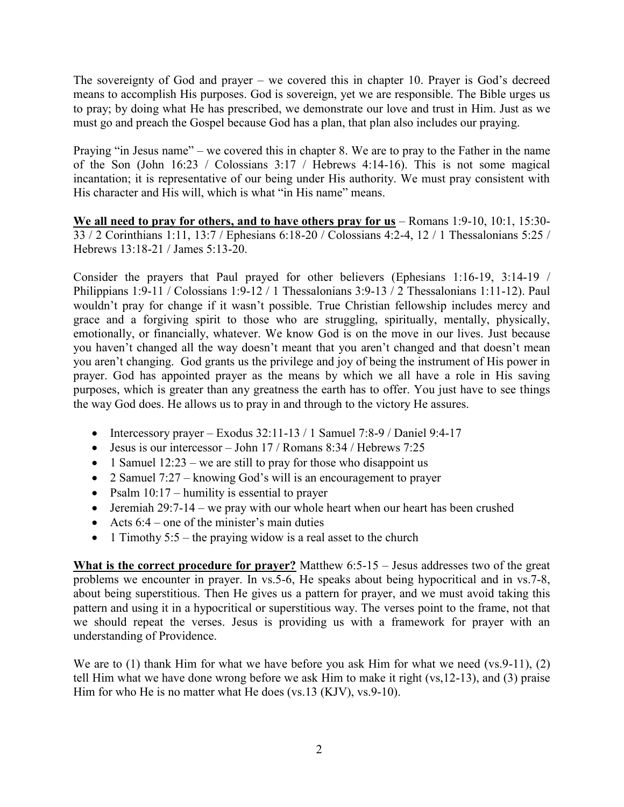The sovereignty of God and prayer – we covered this in chapter 10. Prayer is God's decreed means to accomplish His purposes. God is sovereign, yet we are responsible. The Bible urges us to pray; by doing what He has prescribed, we demonstrate our love and trust in Him. Just as we must go and preach the Gospel because God has a plan, that plan also includes our praying.

Praying "in Jesus name" – we covered this in chapter 8. We are to pray to the Father in the name of the Son (John 16:23 / Colossians 3:17 / Hebrews 4:14-16). This is not some magical incantation; it is representative of our being under His authority. We must pray consistent with His character and His will, which is what "in His name" means.

**We all need to pray for others, and to have others pray for us** – Romans 1:9-10, 10:1, 15:30- 33 / 2 Corinthians 1:11, 13:7 / Ephesians 6:18-20 / Colossians 4:2-4, 12 / 1 Thessalonians 5:25 / Hebrews 13:18-21 / James 5:13-20.

Consider the prayers that Paul prayed for other believers (Ephesians 1:16-19, 3:14-19 / Philippians 1:9-11 / Colossians 1:9-12 / 1 Thessalonians 3:9-13 / 2 Thessalonians 1:11-12). Paul wouldn't pray for change if it wasn't possible. True Christian fellowship includes mercy and grace and a forgiving spirit to those who are struggling, spiritually, mentally, physically, emotionally, or financially, whatever. We know God is on the move in our lives. Just because you haven't changed all the way doesn't meant that you aren't changed and that doesn't mean you aren't changing. God grants us the privilege and joy of being the instrument of His power in prayer. God has appointed prayer as the means by which we all have a role in His saving purposes, which is greater than any greatness the earth has to offer. You just have to see things the way God does. He allows us to pray in and through to the victory He assures.

- Intercessory prayer Exodus  $32:11-13/1$  Samuel 7:8-9 / Daniel 9:4-17
- $\bullet$  Jesus is our intercessor John 17 / Romans 8:34 / Hebrews 7:25
- 1 Samuel  $12:23$  we are still to pray for those who disappoint us
- 2 Samuel 7:27 knowing God's will is an encouragement to prayer
- Psalm  $10:17$  humility is essential to prayer
- Jeremiah  $29:7-14$  we pray with our whole heart when our heart has been crushed
- Acts  $6:4$  one of the minister's main duties
- 1 Timothy  $5:5$  the praying widow is a real asset to the church

**What is the correct procedure for prayer?** Matthew 6:5-15 – Jesus addresses two of the great problems we encounter in prayer. In vs.5-6, He speaks about being hypocritical and in vs.7-8, about being superstitious. Then He gives us a pattern for prayer, and we must avoid taking this pattern and using it in a hypocritical or superstitious way. The verses point to the frame, not that we should repeat the verses. Jesus is providing us with a framework for prayer with an understanding of Providence.

We are to (1) thank Him for what we have before you ask Him for what we need (vs.9-11), (2) tell Him what we have done wrong before we ask Him to make it right (vs,12-13), and (3) praise Him for who He is no matter what He does (vs.13 (KJV), vs.9-10).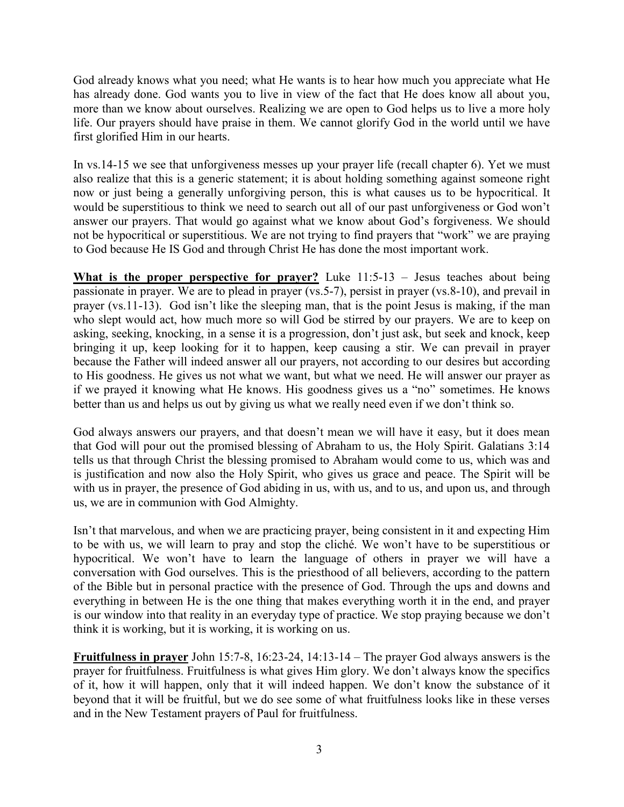God already knows what you need; what He wants is to hear how much you appreciate what He has already done. God wants you to live in view of the fact that He does know all about you, more than we know about ourselves. Realizing we are open to God helps us to live a more holy life. Our prayers should have praise in them. We cannot glorify God in the world until we have first glorified Him in our hearts.

In vs.14-15 we see that unforgiveness messes up your prayer life (recall chapter 6). Yet we must also realize that this is a generic statement; it is about holding something against someone right now or just being a generally unforgiving person, this is what causes us to be hypocritical. It would be superstitious to think we need to search out all of our past unforgiveness or God won't answer our prayers. That would go against what we know about God's forgiveness. We should not be hypocritical or superstitious. We are not trying to find prayers that "work" we are praying to God because He IS God and through Christ He has done the most important work.

**What is the proper perspective for prayer?** Luke 11:5-13 – Jesus teaches about being passionate in prayer. We are to plead in prayer (vs.5-7), persist in prayer (vs.8-10), and prevail in prayer (vs.11-13). God isn't like the sleeping man, that is the point Jesus is making, if the man who slept would act, how much more so will God be stirred by our prayers. We are to keep on asking, seeking, knocking, in a sense it is a progression, don't just ask, but seek and knock, keep bringing it up, keep looking for it to happen, keep causing a stir. We can prevail in prayer because the Father will indeed answer all our prayers, not according to our desires but according to His goodness. He gives us not what we want, but what we need. He will answer our prayer as if we prayed it knowing what He knows. His goodness gives us a "no" sometimes. He knows better than us and helps us out by giving us what we really need even if we don't think so.

God always answers our prayers, and that doesn't mean we will have it easy, but it does mean that God will pour out the promised blessing of Abraham to us, the Holy Spirit. Galatians 3:14 tells us that through Christ the blessing promised to Abraham would come to us, which was and is justification and now also the Holy Spirit, who gives us grace and peace. The Spirit will be with us in prayer, the presence of God abiding in us, with us, and to us, and upon us, and through us, we are in communion with God Almighty.

Isn't that marvelous, and when we are practicing prayer, being consistent in it and expecting Him to be with us, we will learn to pray and stop the cliché. We won't have to be superstitious or hypocritical. We won't have to learn the language of others in prayer we will have a conversation with God ourselves. This is the priesthood of all believers, according to the pattern of the Bible but in personal practice with the presence of God. Through the ups and downs and everything in between He is the one thing that makes everything worth it in the end, and prayer is our window into that reality in an everyday type of practice. We stop praying because we don't think it is working, but it is working, it is working on us.

**Fruitfulness in prayer** John 15:7-8, 16:23-24, 14:13-14 – The prayer God always answers is the prayer for fruitfulness. Fruitfulness is what gives Him glory. We don't always know the specifics of it, how it will happen, only that it will indeed happen. We don't know the substance of it beyond that it will be fruitful, but we do see some of what fruitfulness looks like in these verses and in the New Testament prayers of Paul for fruitfulness.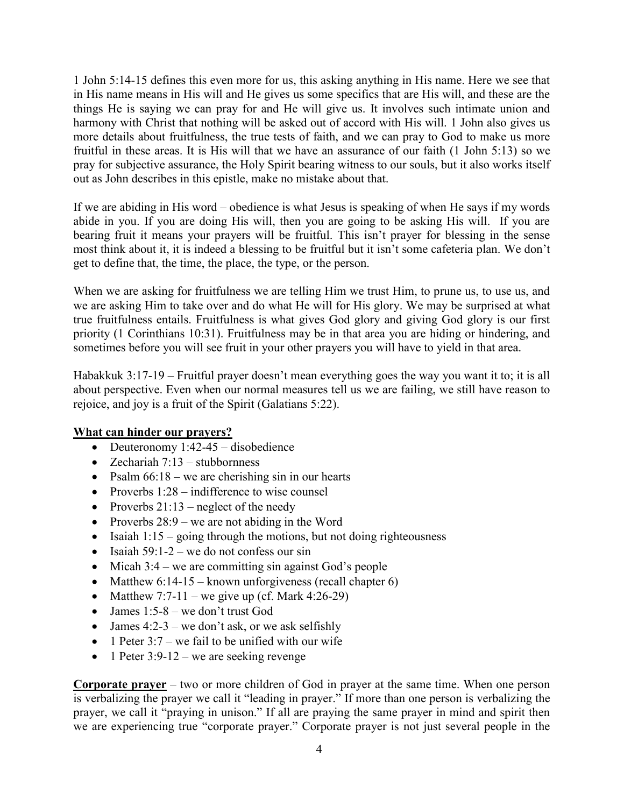1 John 5:14-15 defines this even more for us, this asking anything in His name. Here we see that in His name means in His will and He gives us some specifics that are His will, and these are the things He is saying we can pray for and He will give us. It involves such intimate union and harmony with Christ that nothing will be asked out of accord with His will. 1 John also gives us more details about fruitfulness, the true tests of faith, and we can pray to God to make us more fruitful in these areas. It is His will that we have an assurance of our faith (1 John 5:13) so we pray for subjective assurance, the Holy Spirit bearing witness to our souls, but it also works itself out as John describes in this epistle, make no mistake about that.

If we are abiding in His word – obedience is what Jesus is speaking of when He says if my words abide in you. If you are doing His will, then you are going to be asking His will. If you are bearing fruit it means your prayers will be fruitful. This isn't prayer for blessing in the sense most think about it, it is indeed a blessing to be fruitful but it isn't some cafeteria plan. We don't get to define that, the time, the place, the type, or the person.

When we are asking for fruitfulness we are telling Him we trust Him, to prune us, to use us, and we are asking Him to take over and do what He will for His glory. We may be surprised at what true fruitfulness entails. Fruitfulness is what gives God glory and giving God glory is our first priority (1 Corinthians 10:31). Fruitfulness may be in that area you are hiding or hindering, and sometimes before you will see fruit in your other prayers you will have to yield in that area.

Habakkuk 3:17-19 – Fruitful prayer doesn't mean everything goes the way you want it to; it is all about perspective. Even when our normal measures tell us we are failing, we still have reason to rejoice, and joy is a fruit of the Spirit (Galatians 5:22).

## **What can hinder our prayers?**

- Deuteronomy  $1:42-45$  disobedience
- Zechariah  $7:13$  stubbornness
- Psalm  $66:18$  we are cherishing sin in our hearts
- Proverbs  $1:28$  indifference to wise counsel
- Proverbs  $21:13$  neglect of the needy
- Proverbs  $28:9$  we are not abiding in the Word
- Isaiah  $1:15$  going through the motions, but not doing righteousness
- Isaiah  $59:1-2$  we do not confess our sin
- $\bullet$  Micah 3:4 we are committing sin against God's people
- Matthew  $6:14-15$  known unforgiveness (recall chapter 6)
- Matthew 7:7-11 we give up (cf. Mark 4:26-29)
- $\bullet$  James 1:5-8 we don't trust God
- James  $4:2-3$  we don't ask, or we ask selfishly
- 1 Peter  $3:7$  we fail to be unified with our wife
- $\bullet$  1 Peter 3:9-12 we are seeking revenge

**Corporate prayer** – two or more children of God in prayer at the same time. When one person is verbalizing the prayer we call it "leading in prayer." If more than one person is verbalizing the prayer, we call it "praying in unison." If all are praying the same prayer in mind and spirit then we are experiencing true "corporate prayer." Corporate prayer is not just several people in the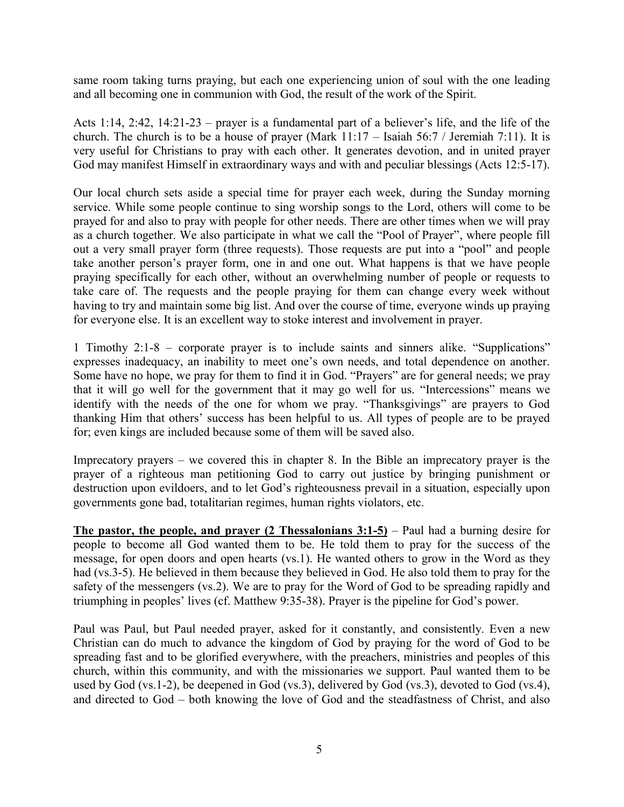same room taking turns praying, but each one experiencing union of soul with the one leading and all becoming one in communion with God, the result of the work of the Spirit.

Acts 1:14, 2:42, 14:21-23 – prayer is a fundamental part of a believer's life, and the life of the church. The church is to be a house of prayer (Mark 11:17 – Isaiah 56:7 / Jeremiah 7:11). It is very useful for Christians to pray with each other. It generates devotion, and in united prayer God may manifest Himself in extraordinary ways and with and peculiar blessings (Acts 12:5-17).

Our local church sets aside a special time for prayer each week, during the Sunday morning service. While some people continue to sing worship songs to the Lord, others will come to be prayed for and also to pray with people for other needs. There are other times when we will pray as a church together. We also participate in what we call the "Pool of Prayer", where people fill out a very small prayer form (three requests). Those requests are put into a "pool" and people take another person's prayer form, one in and one out. What happens is that we have people praying specifically for each other, without an overwhelming number of people or requests to take care of. The requests and the people praying for them can change every week without having to try and maintain some big list. And over the course of time, everyone winds up praying for everyone else. It is an excellent way to stoke interest and involvement in prayer.

1 Timothy 2:1-8 – corporate prayer is to include saints and sinners alike. "Supplications" expresses inadequacy, an inability to meet one's own needs, and total dependence on another. Some have no hope, we pray for them to find it in God. "Prayers" are for general needs; we pray that it will go well for the government that it may go well for us. "Intercessions" means we identify with the needs of the one for whom we pray. "Thanksgivings" are prayers to God thanking Him that others' success has been helpful to us. All types of people are to be prayed for; even kings are included because some of them will be saved also.

Imprecatory prayers – we covered this in chapter 8. In the Bible an imprecatory prayer is the prayer of a righteous man petitioning God to carry out justice by bringing punishment or destruction upon evildoers, and to let God's righteousness prevail in a situation, especially upon governments gone bad, totalitarian regimes, human rights violators, etc.

**The pastor, the people, and prayer (2 Thessalonians 3:1-5)** – Paul had a burning desire for people to become all God wanted them to be. He told them to pray for the success of the message, for open doors and open hearts (vs.1). He wanted others to grow in the Word as they had (vs.3-5). He believed in them because they believed in God. He also told them to pray for the safety of the messengers (vs.2). We are to pray for the Word of God to be spreading rapidly and triumphing in peoples' lives (cf. Matthew 9:35-38). Prayer is the pipeline for God's power.

Paul was Paul, but Paul needed prayer, asked for it constantly, and consistently. Even a new Christian can do much to advance the kingdom of God by praying for the word of God to be spreading fast and to be glorified everywhere, with the preachers, ministries and peoples of this church, within this community, and with the missionaries we support. Paul wanted them to be used by God (vs.1-2), be deepened in God (vs.3), delivered by God (vs.3), devoted to God (vs.4), and directed to God – both knowing the love of God and the steadfastness of Christ, and also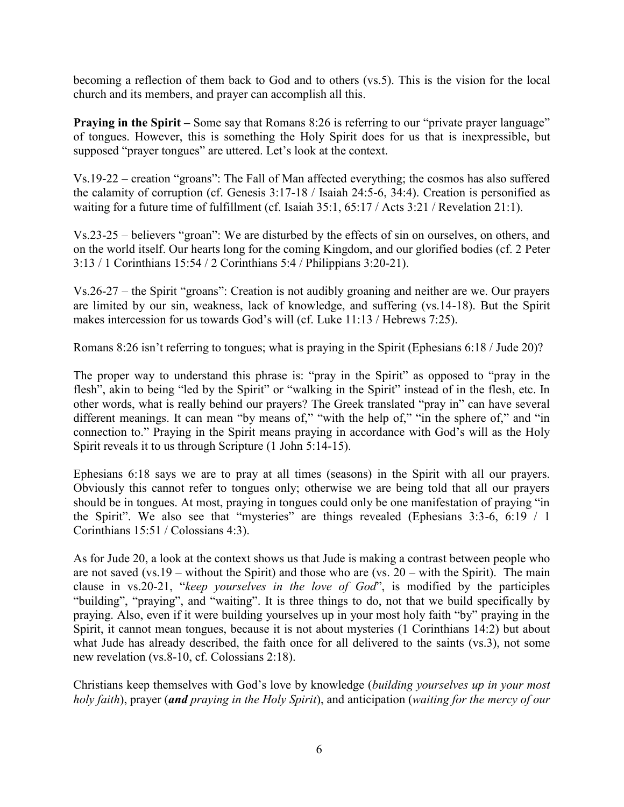becoming a reflection of them back to God and to others (vs.5). This is the vision for the local church and its members, and prayer can accomplish all this.

**Praying in the Spirit** – Some say that Romans 8:26 is referring to our "private prayer language" of tongues. However, this is something the Holy Spirit does for us that is inexpressible, but supposed "prayer tongues" are uttered. Let's look at the context.

Vs.19-22 – creation "groans": The Fall of Man affected everything; the cosmos has also suffered the calamity of corruption (cf. Genesis 3:17-18 / Isaiah 24:5-6, 34:4). Creation is personified as waiting for a future time of fulfillment (cf. Isaiah 35:1, 65:17 / Acts 3:21 / Revelation 21:1).

Vs.23-25 – believers "groan": We are disturbed by the effects of sin on ourselves, on others, and on the world itself. Our hearts long for the coming Kingdom, and our glorified bodies (cf. 2 Peter 3:13 / 1 Corinthians 15:54 / 2 Corinthians 5:4 / Philippians 3:20-21).

Vs.26-27 – the Spirit "groans": Creation is not audibly groaning and neither are we. Our prayers are limited by our sin, weakness, lack of knowledge, and suffering (vs.14-18). But the Spirit makes intercession for us towards God's will (cf. Luke 11:13 / Hebrews 7:25).

Romans 8:26 isn't referring to tongues; what is praying in the Spirit (Ephesians 6:18 / Jude 20)?

The proper way to understand this phrase is: "pray in the Spirit" as opposed to "pray in the flesh", akin to being "led by the Spirit" or "walking in the Spirit" instead of in the flesh, etc. In other words, what is really behind our prayers? The Greek translated "pray in" can have several different meanings. It can mean "by means of," "with the help of," "in the sphere of," and "in connection to." Praying in the Spirit means praying in accordance with God's will as the Holy Spirit reveals it to us through Scripture (1 John 5:14-15).

Ephesians 6:18 says we are to pray at all times (seasons) in the Spirit with all our prayers. Obviously this cannot refer to tongues only; otherwise we are being told that all our prayers should be in tongues. At most, praying in tongues could only be one manifestation of praying "in the Spirit". We also see that "mysteries" are things revealed (Ephesians 3:3-6, 6:19 / 1 Corinthians 15:51 / Colossians 4:3).

As for Jude 20, a look at the context shows us that Jude is making a contrast between people who are not saved (vs.19 – without the Spirit) and those who are (vs. 20 – with the Spirit). The main clause in vs.20-21, "*keep yourselves in the love of God*", is modified by the participles "building", "praying", and "waiting". It is three things to do, not that we build specifically by praying. Also, even if it were building yourselves up in your most holy faith "by" praying in the Spirit, it cannot mean tongues, because it is not about mysteries (1 Corinthians 14:2) but about what Jude has already described, the faith once for all delivered to the saints (vs.3), not some new revelation (vs.8-10, cf. Colossians 2:18).

Christians keep themselves with God's love by knowledge (*building yourselves up in your most holy faith*), prayer (*and praying in the Holy Spirit*), and anticipation (*waiting for the mercy of our*